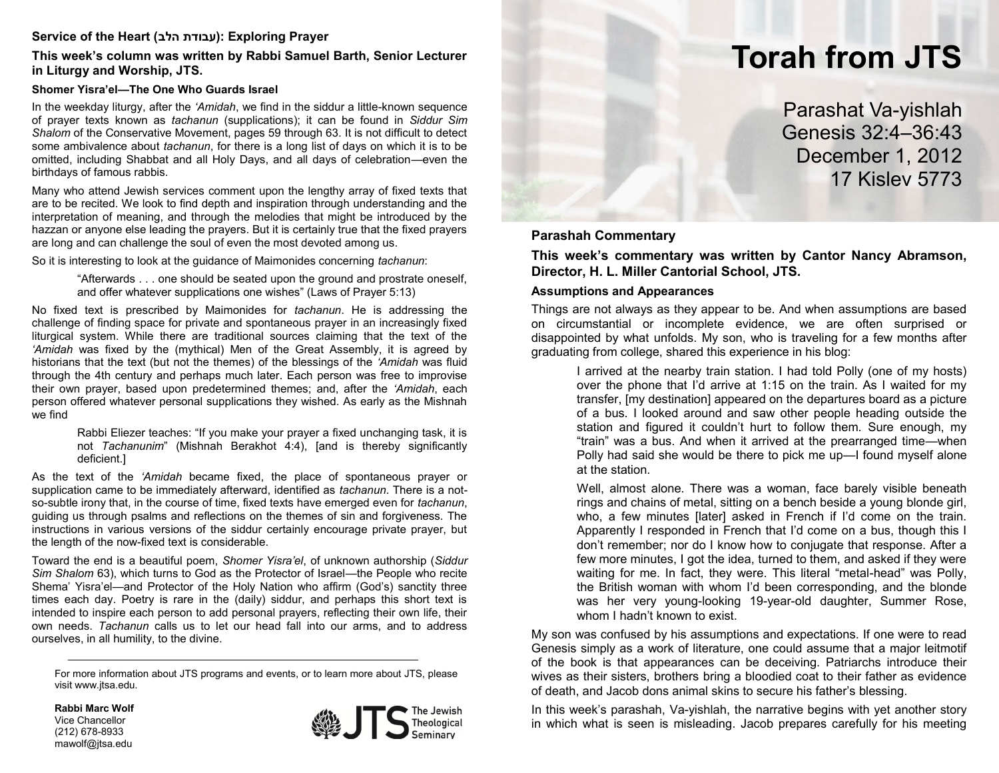# **Service of the Heart (הלב עבודת(: Exploring Prayer**

**This week's column was written by Rabbi Samuel Barth, Senior Lecturer in Liturgy and Worship, JTS.**

### **Shomer Yisra'el—The One Who Guards Israel**

In the weekday liturgy, after the *'Amidah*, we find in the siddur a little-known sequence of prayer texts known as *tachanun* (supplications); it can be found in *Siddur Sim Shalom* of the Conservative Movement, pages 59 through 63. It is not difficult to detect some ambivalence about *tachanun*, for there is a long list of days on which it is to be omitted, including Shabbat and all Holy Days, and all days of celebration—even the birthdays of famous rabbis.

Many who attend Jewish services comment upon the lengthy array of fixed texts that are to be recited. We look to find depth and inspiration through understanding and the interpretation of meaning, and through the melodies that might be introduced by the hazzan or anyone else leading the prayers. But it is certainly true that the fixed prayers are long and can challenge the soul of even the most devoted among us.

So it is interesting to look at the guidance of Maimonides concerning *tachanun*:

"Afterwards . . . one should be seated upon the ground and prostrate oneself, and offer whatever supplications one wishes" (Laws of Prayer 5:13)

No fixed text is prescribed by Maimonides for *tachanun*. He is addressing the challenge of finding space for private and spontaneous prayer in an increasingly fixed liturgical system. While there are traditional sources claiming that the text of the *'Amidah* was fixed by the (mythical) Men of the Great Assembly, it is agreed by historians that the text (but not the themes) of the blessings of the *'Amidah* was fluid through the 4th century and perhaps much later. Each person was free to improvise their own prayer, based upon predetermined themes; and, after the *'Amidah*, each person offered whatever personal supplications they wished. As early as the Mishnah we find

> Rabbi Eliezer teaches: "If you make your prayer a fixed unchanging task, it is not *Tachanunim*" (Mishnah Berakhot 4:4), [and is thereby significantly deficient.]

As the text of the *'Amidah* became fixed, the place of spontaneous prayer or supplication came to be immediately afterward, identified as *tachanun*. There is a notso-subtle irony that, in the course of time, fixed texts have emerged even for *tachanun*, guiding us through psalms and reflections on the themes of sin and forgiveness. The instructions in various versions of the siddur certainly encourage private prayer, but the length of the now-fixed text is considerable.

Toward the end is a beautiful poem, *Shomer Yisra'el*, of unknown authorship (*Siddur Sim Shalom* 63), which turns to God as the Protector of Israel—the People who recite Shema' Yisra'el—and Protector of the Holy Nation who affirm (God's) sanctity three times each day. Poetry is rare in the (daily) siddur, and perhaps this short text is intended to inspire each person to add personal prayers, reflecting their own life, their own needs. *Tachanun* calls us to let our head fall into our arms, and to address ourselves, in all humility, to the divine.

For more information about JTS programs and events, or to learn more about JTS, please visit www.jtsa.edu.

**Rabbi Marc Wolf** Vice Chancellor (212) 678-8933 mawolf@jtsa.edu



# **Torah from JTS**

Parashat Va-yishlah Genesis 32:4–36:43 December 1, 2012 17 Kislev 5773

# **Parashah Commentary**

**This week's commentary was written by Cantor Nancy Abramson, Director, H. L. Miller Cantorial School, JTS.**

#### **Assumptions and Appearances**

Things are not always as they appear to be. And when assumptions are based on circumstantial or incomplete evidence, we are often surprised or disappointed by what unfolds. My son, who is traveling for a few months after graduating from college, shared this experience in his blog:

> I arrived at the nearby train station. I had told Polly (one of my hosts) over the phone that I'd arrive at 1:15 on the train. As I waited for my transfer, [my destination] appeared on the departures board as a picture of a bus. I looked around and saw other people heading outside the station and figured it couldn't hurt to follow them. Sure enough, my "train" was a bus. And when it arrived at the prearranged time—when Polly had said she would be there to pick me up—I found myself alone at the station.

> Well, almost alone. There was a woman, face barely visible beneath rings and chains of metal, sitting on a bench beside a young blonde girl, who, a few minutes [later] asked in French if I'd come on the train. Apparently I responded in French that I'd come on a bus, though this I don't remember; nor do I know how to conjugate that response. After a few more minutes, I got the idea, turned to them, and asked if they were waiting for me. In fact, they were. This literal "metal-head" was Polly, the British woman with whom I'd been corresponding, and the blonde was her very young-looking 19-year-old daughter, Summer Rose, whom I hadn't known to exist.

My son was confused by his assumptions and expectations. If one were to read Genesis simply as a work of literature, one could assume that a major leitmotif of the book is that appearances can be deceiving. Patriarchs introduce their wives as their sisters, brothers bring a bloodied coat to their father as evidence of death, and Jacob dons animal skins to secure his father's blessing.

In this week's parashah, Va-yishlah, the narrative begins with yet another story in which what is seen is misleading. Jacob prepares carefully for his meeting